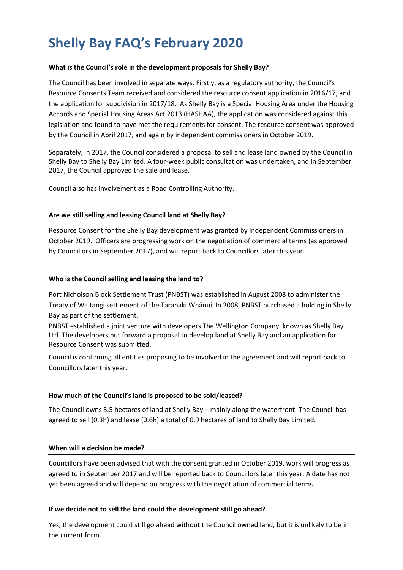# **Shelly Bay FAQ's February 2020**

## **What is the Council's role in the development proposals for Shelly Bay?**

The Council has been involved in separate ways. Firstly, as a regulatory authority, the Council's Resource Consents Team received and considered the resource consent application in 2016/17, and the application for subdivision in 2017/18. As Shelly Bay is a Special Housing Area under the Housing Accords and Special Housing Areas Act 2013 (HASHAA), the application was considered against this legislation and found to have met the requirements for consent. The resource consent was approved by the Council in April 2017, and again by independent commissioners in October 2019.

Separately, in 2017, the Council considered a proposal to sell and lease land owned by the Council in Shelly Bay to Shelly Bay Limited. A four-week public consultation was undertaken, and in September 2017, the Council approved the sale and lease.

Council also has involvement as a Road Controlling Authority.

## **Are we still selling and leasing Council land at Shelly Bay?**

Resource Consent for the Shelly Bay development was granted by Independent Commissioners in October 2019. Officers are progressing work on the negotiation of commercial terms (as approved by Councillors in September 2017), and will report back to Councillors later this year.

## **Who is the Council selling and leasing the land to?**

Port Nicholson Block Settlement Trust (PNBST) was established in August 2008 to administer the Treaty of Waitangi settlement of the Taranaki Whānui. In 2008, PNBST purchased a holding in Shelly Bay as part of the settlement.

PNBST established a joint venture with developers The Wellington Company, known as Shelly Bay Ltd. The developers put forward a proposal to develop land at Shelly Bay and an application for Resource Consent was submitted.

Council is confirming all entities proposing to be involved in the agreement and will report back to Councillors later this year.

#### **How much of the Council's land is proposed to be sold/leased?**

The Council owns 3.5 hectares of land at Shelly Bay – mainly along the waterfront. The Council has agreed to sell (0.3h) and lease (0.6h) a total of 0.9 hectares of land to Shelly Bay Limited.

#### **When will a decision be made?**

Councillors have been advised that with the consent granted in October 2019, work will progress as agreed to in September 2017 and will be reported back to Councillors later this year. A date has not yet been agreed and will depend on progress with the negotiation of commercial terms.

#### **If we decide not to sell the land could the development still go ahead?**

Yes, the development could still go ahead without the Council owned land, but it is unlikely to be in the current form.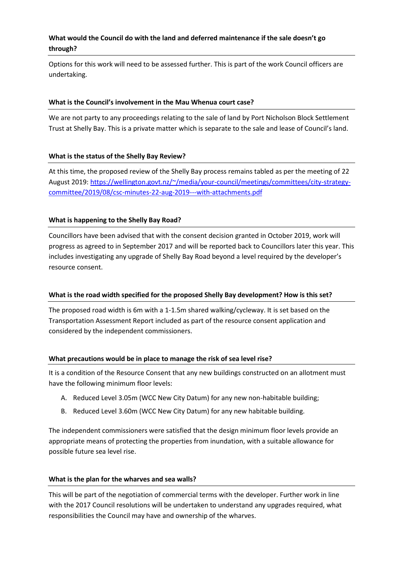# **What would the Council do with the land and deferred maintenance if the sale doesn't go through?**

Options for this work will need to be assessed further. This is part of the work Council officers are undertaking.

## **What is the Council's involvement in the Mau Whenua court case?**

We are not party to any proceedings relating to the sale of land by Port Nicholson Block Settlement Trust at Shelly Bay. This is a private matter which is separate to the sale and lease of Council's land.

## **What is the status of the Shelly Bay Review?**

At this time, the proposed review of the Shelly Bay process remains tabled as per the meeting of 22 August 2019: [https://wellington.govt.nz/~/media/your-council/meetings/committees/city-strategy](https://wellington.govt.nz/~/media/your-council/meetings/committees/city-strategy-committee/2019/08/csc-minutes-22-aug-2019---with-attachments.pdf)[committee/2019/08/csc-minutes-22-aug-2019---with-attachments.pdf](https://wellington.govt.nz/~/media/your-council/meetings/committees/city-strategy-committee/2019/08/csc-minutes-22-aug-2019---with-attachments.pdf)

## **What is happening to the Shelly Bay Road?**

Councillors have been advised that with the consent decision granted in October 2019, work will progress as agreed to in September 2017 and will be reported back to Councillors later this year. This includes investigating any upgrade of Shelly Bay Road beyond a level required by the developer's resource consent.

#### **What is the road width specified for the proposed Shelly Bay development? How is this set?**

The proposed road width is 6m with a 1-1.5m shared walking/cycleway. It is set based on the Transportation Assessment Report included as part of the resource consent application and considered by the independent commissioners.

#### **What precautions would be in place to manage the risk of sea level rise?**

It is a condition of the Resource Consent that any new buildings constructed on an allotment must have the following minimum floor levels:

- A. Reduced Level 3.05m (WCC New City Datum) for any new non-habitable building;
- B. Reduced Level 3.60m (WCC New City Datum) for any new habitable building.

The independent commissioners were satisfied that the design minimum floor levels provide an appropriate means of protecting the properties from inundation, with a suitable allowance for possible future sea level rise.

#### **What is the plan for the wharves and sea walls?**

This will be part of the negotiation of commercial terms with the developer. Further work in line with the 2017 Council resolutions will be undertaken to understand any upgrades required, what responsibilities the Council may have and ownership of the wharves.